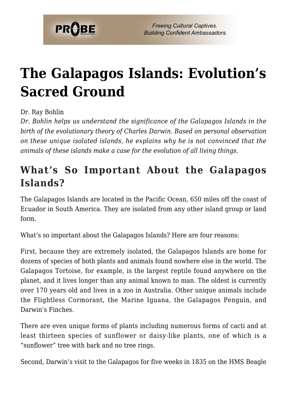

# **[The Galapagos Islands: Evolution's](https://probe.org/the-galapagos-islands-evolutions-sacred-ground/) [Sacred Ground](https://probe.org/the-galapagos-islands-evolutions-sacred-ground/)**

Dr. Ray Bohlin

*Dr. Bohlin helps us understand the significance of the Galapagos Islands in the birth of the evolutionary theory of Charles Darwin. Based on personal observation on these unique isolated islands, he explains why he is not convinced that the animals of these islands make a case for the evolution of all living things.*

## **What's So Important About the Galapagos Islands?**

The Galapagos Islands are located in the Pacific Ocean, 650 miles off the coast of Ecuador in South America. They are isolated from any other island group or land form.

What's so important about the Galapagos Islands? Here are four reasons:

First, because they are extremely isolated, the Galapagos Islands are home for dozens of species of both plants and animals found nowhere else in the world. The Galapagos Tortoise, for example, is the largest reptile found anywhere on the planet, and it lives longer than any animal known to man. The oldest is currently over 170 years old and lives in a zoo in Australia. Other unique animals include the Flightless Cormorant, the Marine Iguana, the Galapagos Penguin, and Darwin's Finches.

There are even unique forms of plants including numerous forms of cacti and at least thirteen species of sunflower or daisy-like plants, one of which is a "sunflower" tree with bark and no tree rings.

Second, Darwin's visit to the Galapagos for five weeks in 1835 on the HMS Beagle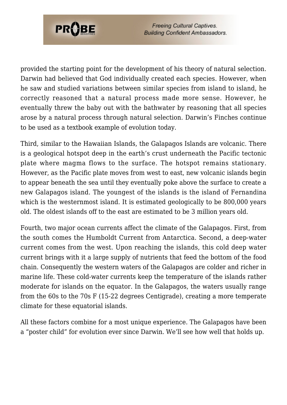

**Freeing Cultural Captives. Building Confident Ambassadors.** 

provided the starting point for the development of his theory of natural selection. Darwin had believed that God individually created each species. However, when he saw and studied variations between similar species from island to island, he correctly reasoned that a natural process made more sense. However, he eventually threw the baby out with the bathwater by reasoning that all species arose by a natural process through natural selection. Darwin's Finches continue to be used as a textbook example of evolution today.

Third, similar to the Hawaiian Islands, the Galapagos Islands are volcanic. There is a geological hotspot deep in the earth's crust underneath the Pacific tectonic plate where magma flows to the surface. The hotspot remains stationary. However, as the Pacific plate moves from west to east, new volcanic islands begin to appear beneath the sea until they eventually poke above the surface to create a new Galapagos island. The youngest of the islands is the island of Fernandina which is the westernmost island. It is estimated geologically to be 800,000 years old. The oldest islands off to the east are estimated to be 3 million years old.

Fourth, two major ocean currents affect the climate of the Galapagos. First, from the south comes the Humboldt Current from Antarctica. Second, a deep-water current comes from the west. Upon reaching the islands, this cold deep water current brings with it a large supply of nutrients that feed the bottom of the food chain. Consequently the western waters of the Galapagos are colder and richer in marine life. These cold-water currents keep the temperature of the islands rather moderate for islands on the equator. In the Galapagos, the waters usually range from the 60s to the 70s F (15-22 degrees Centigrade), creating a more temperate climate for these equatorial islands.

All these factors combine for a most unique experience. The Galapagos have been a "poster child" for evolution ever since Darwin. We'll see how well that holds up.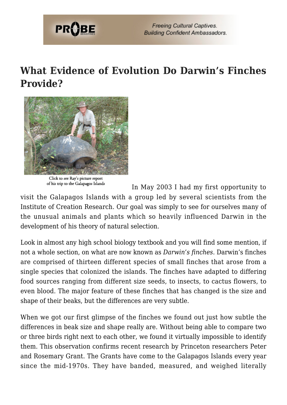

#### **What Evidence of Evolution Do Darwin's Finches Provide?**



Click to see Ray's picture report of his trip to the Galapagos Islands

In May 2003 I had my first opportunity to

visit the Galapagos Islands with a group led by several scientists from the Institute of Creation Research. Our goal was simply to see for ourselves many of the unusual animals and plants which so heavily influenced Darwin in the development of his theory of natural selection.

Look in almost any high school biology textbook and you will find some mention, if not a whole section, on what are now known as *Darwin's finches*. Darwin's finches are comprised of thirteen different species of small finches that arose from a single species that colonized the islands. The finches have adapted to differing food sources ranging from different size seeds, to insects, to cactus flowers, to even blood. The major feature of these finches that has changed is the size and shape of their beaks, but the differences are very subtle.

When we got our first glimpse of the finches we found out just how subtle the differences in beak size and shape really are. Without being able to compare two or three birds right next to each other, we found it virtually impossible to identify them. This observation confirms recent research by Princeton researchers Peter and Rosemary Grant. The Grants have come to the Galapagos Islands every year since the mid-1970s. They have banded, measured, and weighed literally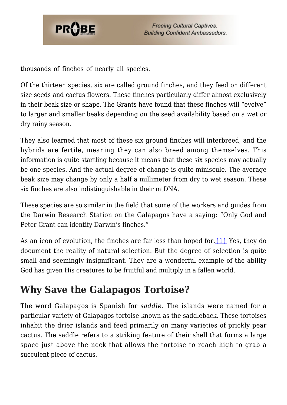

thousands of finches of nearly all species.

Of the thirteen species, six are called ground finches, and they feed on different size seeds and cactus flowers. These finches particularly differ almost exclusively in their beak size or shape. The Grants have found that these finches will "evolve" to larger and smaller beaks depending on the seed availability based on a wet or dry rainy season.

They also learned that most of these six ground finches will interbreed, and the hybrids are fertile, meaning they can also breed among themselves. This information is quite startling because it means that these six species may actually be one species. And the actual degree of change is quite miniscule. The average beak size may change by only a half a millimeter from dry to wet season. These six finches are also indistinguishable in their mtDNA.

These species are so similar in the field that some of the workers and guides from the Darwin Research Station on the Galapagos have a saying: "Only God and Peter Grant can identify Darwin's finches."

As an icon of evolution, the finches are far less than hoped for. ${1}$  Yes, they do document the reality of natural selection. But the degree of selection is quite small and seemingly insignificant. They are a wonderful example of the ability God has given His creatures to be fruitful and multiply in a fallen world.

## **Why Save the Galapagos Tortoise?**

The word Galapagos is Spanish for *saddle*. The islands were named for a particular variety of Galapagos tortoise known as the saddleback. These tortoises inhabit the drier islands and feed primarily on many varieties of prickly pear cactus. The saddle refers to a striking feature of their shell that forms a large space just above the neck that allows the tortoise to reach high to grab a succulent piece of cactus.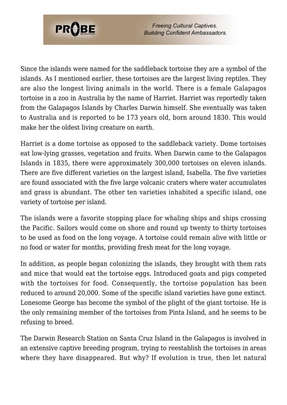

**Freeing Cultural Captives. Building Confident Ambassadors.** 

Since the islands were named for the saddleback tortoise they are a symbol of the islands. As I mentioned earlier, these tortoises are the largest living reptiles. They are also the longest living animals in the world. There is a female Galapagos tortoise in a zoo in Australia by the name of Harriet. Harriet was reportedly taken from the Galapagos Islands by Charles Darwin himself. She eventually was taken to Australia and is reported to be 173 years old, born around 1830. This would make her the oldest living creature on earth.

Harriet is a dome tortoise as opposed to the saddleback variety. Dome tortoises eat low-lying grasses, vegetation and fruits. When Darwin came to the Galapagos Islands in 1835, there were approximately 300,000 tortoises on eleven islands. There are five different varieties on the largest island, Isabella. The five varieties are found associated with the five large volcanic craters where water accumulates and grass is abundant. The other ten varieties inhabited a specific island, one variety of tortoise per island.

The islands were a favorite stopping place for whaling ships and ships crossing the Pacific. Sailors would come on shore and round up twenty to thirty tortoises to be used as food on the long voyage. A tortoise could remain alive with little or no food or water for months, providing fresh meat for the long voyage.

In addition, as people began colonizing the islands, they brought with them rats and mice that would eat the tortoise eggs. Introduced goats and pigs competed with the tortoises for food. Consequently, the tortoise population has been reduced to around 20,000. Some of the specific island varieties have gone extinct. Lonesome George has become the symbol of the plight of the giant tortoise. He is the only remaining member of the tortoises from Pinta Island, and he seems to be refusing to breed.

The Darwin Research Station on Santa Cruz Island in the Galapagos is involved in an extensive captive breeding program, trying to reestablish the tortoises in areas where they have disappeared. But why? If evolution is true, then let natural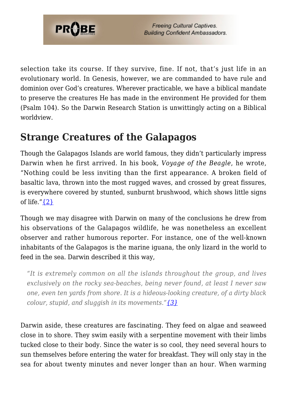

selection take its course. If they survive, fine. If not, that's just life in an evolutionary world. In Genesis, however, we are commanded to have rule and dominion over God's creatures. Wherever practicable, we have a biblical mandate to preserve the creatures He has made in the environment He provided for them (Psalm 104). So the Darwin Research Station is unwittingly acting on a Biblical worldview.

#### **Strange Creatures of the Galapagos**

Though the Galapagos Islands are world famous, they didn't particularly impress Darwin when he first arrived. In his book, *Voyage of the Beagle*, he wrote, "Nothing could be less inviting than the first appearance. A broken field of basaltic lava, thrown into the most rugged waves, and crossed by great fissures, is everywhere covered by stunted, sunburnt brushwood, which shows little signs of life." $\{2\}$ 

Though we may disagree with Darwin on many of the conclusions he drew from his observations of the Galapagos wildlife, he was nonetheless an excellent observer and rather humorous reporter. For instance, one of the well-known inhabitants of the Galapagos is the marine iguana, the only lizard in the world to feed in the sea. Darwin described it this way,

*"It is extremely common on all the islands throughout the group, and lives exclusively on the rocky sea-beaches, being never found, at least I never saw one, even ten yards from shore. It is a hideous-looking creature, of a dirty black colour, stupid, and sluggish in its movements."[{3}](#page-8-2)*

Darwin aside, these creatures are fascinating. They feed on algae and seaweed close in to shore. They swim easily with a serpentine movement with their limbs tucked close to their body. Since the water is so cool, they need several hours to sun themselves before entering the water for breakfast. They will only stay in the sea for about twenty minutes and never longer than an hour. When warming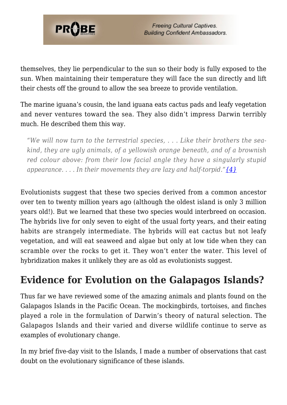

themselves, they lie perpendicular to the sun so their body is fully exposed to the sun. When maintaining their temperature they will face the sun directly and lift their chests off the ground to allow the sea breeze to provide ventilation.

The marine iguana's cousin, the land iguana eats cactus pads and leafy vegetation and never ventures toward the sea. They also didn't impress Darwin terribly much. He described them this way.

*"We will now turn to the terrestrial species, . . . Like their brothers the seakind, they are ugly animals, of a yellowish orange beneath, and of a brownish red colour above: from their low facial angle they have a singularly stupid appearance. . . . In their movements they are lazy and half-torpid."[{4}](#page-8-3)*

Evolutionists suggest that these two species derived from a common ancestor over ten to twenty million years ago (although the oldest island is only 3 million years old!). But we learned that these two species would interbreed on occasion. The hybrids live for only seven to eight of the usual forty years, and their eating habits are strangely intermediate. The hybrids will eat cactus but not leafy vegetation, and will eat seaweed and algae but only at low tide when they can scramble over the rocks to get it. They won't enter the water. This level of hybridization makes it unlikely they are as old as evolutionists suggest.

## **Evidence for Evolution on the Galapagos Islands?**

Thus far we have reviewed some of the amazing animals and plants found on the Galapagos Islands in the Pacific Ocean. The mockingbirds, tortoises, and finches played a role in the formulation of Darwin's theory of natural selection. The Galapagos Islands and their varied and diverse wildlife continue to serve as examples of evolutionary change.

In my brief five-day visit to the Islands, I made a number of observations that cast doubt on the evolutionary significance of these islands.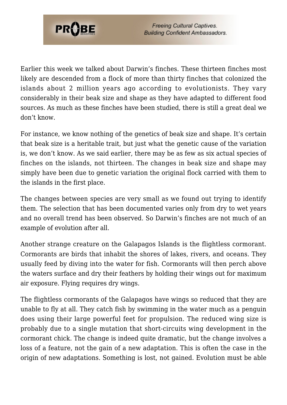

Earlier this week we talked about Darwin's finches. These thirteen finches most likely are descended from a flock of more than thirty finches that colonized the islands about 2 million years ago according to evolutionists. They vary considerably in their beak size and shape as they have adapted to different food sources. As much as these finches have been studied, there is still a great deal we don't know.

For instance, we know nothing of the genetics of beak size and shape. It's certain that beak size is a heritable trait, but just what the genetic cause of the variation is, we don't know. As we said earlier, there may be as few as six actual species of finches on the islands, not thirteen. The changes in beak size and shape may simply have been due to genetic variation the original flock carried with them to the islands in the first place.

The changes between species are very small as we found out trying to identify them. The selection that has been documented varies only from dry to wet years and no overall trend has been observed. So Darwin's finches are not much of an example of evolution after all.

Another strange creature on the Galapagos Islands is the flightless cormorant. Cormorants are birds that inhabit the shores of lakes, rivers, and oceans. They usually feed by diving into the water for fish. Cormorants will then perch above the waters surface and dry their feathers by holding their wings out for maximum air exposure. Flying requires dry wings.

The flightless cormorants of the Galapagos have wings so reduced that they are unable to fly at all. They catch fish by swimming in the water much as a penguin does using their large powerful feet for propulsion. The reduced wing size is probably due to a single mutation that short-circuits wing development in the cormorant chick. The change is indeed quite dramatic, but the change involves a loss of a feature, not the gain of a new adaptation. This is often the case in the origin of new adaptations. Something is lost, not gained. Evolution must be able